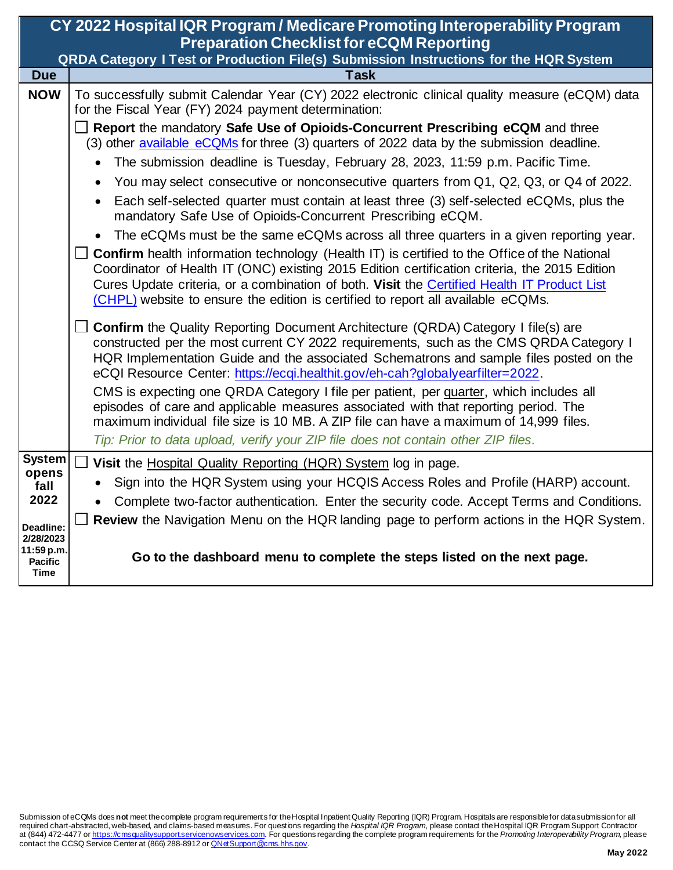| CY 2022 Hospital IQR Program / Medicare Promoting Interoperability Program<br><b>Preparation Checklist for eCQM Reporting</b> |                                                                                                                                                                                                                                                                                                                                                                                         |  |
|-------------------------------------------------------------------------------------------------------------------------------|-----------------------------------------------------------------------------------------------------------------------------------------------------------------------------------------------------------------------------------------------------------------------------------------------------------------------------------------------------------------------------------------|--|
|                                                                                                                               | <b>QRDA Category I Test or Production File(s) Submission Instructions for the HQR System</b>                                                                                                                                                                                                                                                                                            |  |
| <b>Due</b>                                                                                                                    | <b>Task</b>                                                                                                                                                                                                                                                                                                                                                                             |  |
| <b>NOW</b>                                                                                                                    | To successfully submit Calendar Year (CY) 2022 electronic clinical quality measure (eCQM) data<br>for the Fiscal Year (FY) 2024 payment determination:                                                                                                                                                                                                                                  |  |
|                                                                                                                               | $\Box$ Report the mandatory Safe Use of Opioids-Concurrent Prescribing eCQM and three<br>(3) other available eCQMs for three (3) quarters of 2022 data by the submission deadline.                                                                                                                                                                                                      |  |
|                                                                                                                               | The submission deadline is Tuesday, February 28, 2023, 11:59 p.m. Pacific Time.                                                                                                                                                                                                                                                                                                         |  |
|                                                                                                                               | You may select consecutive or nonconsecutive quarters from Q1, Q2, Q3, or Q4 of 2022.                                                                                                                                                                                                                                                                                                   |  |
|                                                                                                                               | Each self-selected quarter must contain at least three (3) self-selected eCQMs, plus the<br>mandatory Safe Use of Opioids-Concurrent Prescribing eCQM.                                                                                                                                                                                                                                  |  |
|                                                                                                                               | The eCQMs must be the same eCQMs across all three quarters in a given reporting year.                                                                                                                                                                                                                                                                                                   |  |
|                                                                                                                               | <b>Confirm</b> health information technology (Health IT) is certified to the Office of the National<br>Coordinator of Health IT (ONC) existing 2015 Edition certification criteria, the 2015 Edition<br>Cures Update criteria, or a combination of both. Visit the Certified Health IT Product List<br>(CHPL) website to ensure the edition is certified to report all available eCQMs. |  |
|                                                                                                                               | <b>Confirm</b> the Quality Reporting Document Architecture (QRDA) Category I file(s) are<br>constructed per the most current CY 2022 requirements, such as the CMS QRDA Category I<br>HQR Implementation Guide and the associated Schematrons and sample files posted on the<br>eCQI Resource Center: https://ecqi.healthit.gov/eh-cah?globalyearfilter=2022.                           |  |
|                                                                                                                               | CMS is expecting one QRDA Category I file per patient, per quarter, which includes all<br>episodes of care and applicable measures associated with that reporting period. The<br>maximum individual file size is 10 MB. A ZIP file can have a maximum of 14,999 files.<br>Tip: Prior to data upload, verify your ZIP file does not contain other ZIP files.                             |  |
| <b>System</b>                                                                                                                 | Visit the Hospital Quality Reporting (HQR) System log in page.                                                                                                                                                                                                                                                                                                                          |  |
| opens<br>fall                                                                                                                 | Sign into the HQR System using your HCQIS Access Roles and Profile (HARP) account.                                                                                                                                                                                                                                                                                                      |  |
| 2022                                                                                                                          | Complete two-factor authentication. Enter the security code. Accept Terms and Conditions.                                                                                                                                                                                                                                                                                               |  |
| Deadline:<br>2/28/2023                                                                                                        | Review the Navigation Menu on the HQR landing page to perform actions in the HQR System.                                                                                                                                                                                                                                                                                                |  |
| 11:59 p.m.<br><b>Pacific</b><br><b>Time</b>                                                                                   | Go to the dashboard menu to complete the steps listed on the next page.                                                                                                                                                                                                                                                                                                                 |  |